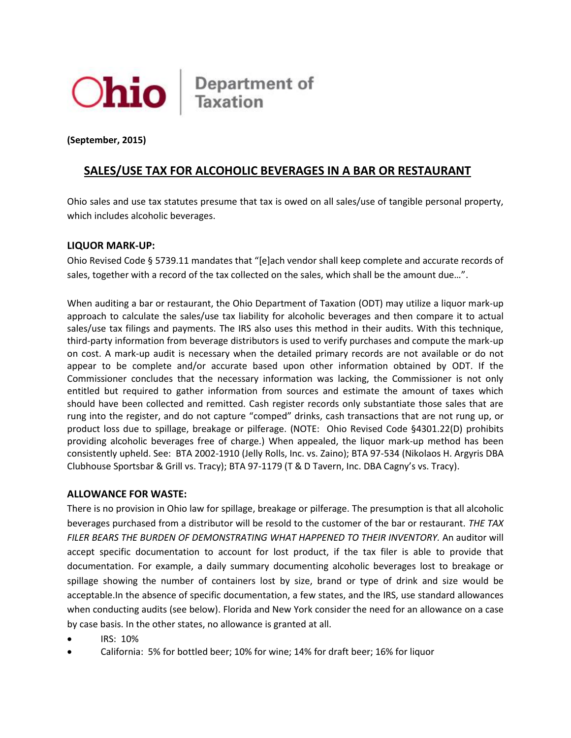

Ohio Bepartment of

**(September, 2015)** 

## **SALES/USE TAX FOR ALCOHOLIC BEVERAGES IN A BAR OR RESTAURANT**

Ohio sales and use tax statutes presume that tax is owed on all sales/use of tangible personal property, which includes alcoholic beverages.

## **LIQUOR MARK-UP:**

Ohio Revised Code § 5739.11 mandates that "[e]ach vendor shall keep complete and accurate records of sales, together with a record of the tax collected on the sales, which shall be the amount due…".

When auditing a bar or restaurant, the Ohio Department of Taxation (ODT) may utilize a liquor mark-up approach to calculate the sales/use tax liability for alcoholic beverages and then compare it to actual sales/use tax filings and payments. The IRS also uses this method in their audits. With this technique, third-party information from beverage distributors is used to verify purchases and compute the mark-up on cost. A mark-up audit is necessary when the detailed primary records are not available or do not appear to be complete and/or accurate based upon other information obtained by ODT. If the Commissioner concludes that the necessary information was lacking, the Commissioner is not only entitled but required to gather information from sources and estimate the amount of taxes which should have been collected and remitted. Cash register records only substantiate those sales that are rung into the register, and do not capture "comped" drinks, cash transactions that are not rung up, or product loss due to spillage, breakage or pilferage. (NOTE: Ohio Revised Code §4301.22(D) prohibits providing alcoholic beverages free of charge.) When appealed, the liquor mark-up method has been consistently upheld. See: BTA 2002-1910 (Jelly Rolls, Inc. vs. Zaino); BTA 97-534 (Nikolaos H. Argyris DBA Clubhouse Sportsbar & Grill vs. Tracy); BTA 97-1179 (T & D Tavern, Inc. DBA Cagny's vs. Tracy).

## **ALLOWANCE FOR WASTE:**

There is no provision in Ohio law for spillage, breakage or pilferage. The presumption is that all alcoholic beverages purchased from a distributor will be resold to the customer of the bar or restaurant. *THE TAX*  FILER BEARS THE BURDEN OF DEMONSTRATING WHAT HAPPENED TO THEIR INVENTORY. An auditor will accept specific documentation to account for lost product, if the tax filer is able to provide that documentation. For example, a daily summary documenting alcoholic beverages lost to breakage or spillage showing the number of containers lost by size, brand or type of drink and size would be acceptable.In the absence of specific documentation, a few states, and the IRS, use standard allowances when conducting audits (see below). Florida and New York consider the need for an allowance on a case by case basis. In the other states, no allowance is granted at all.

- IRS: 10%
- California: 5% for bottled beer; 10% for wine; 14% for draft beer; 16% for liquor